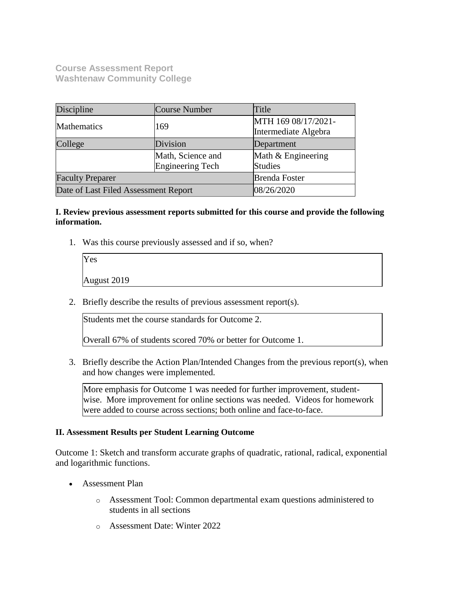**Course Assessment Report Washtenaw Community College**

| Discipline                           | Course Number                                | Title                                       |
|--------------------------------------|----------------------------------------------|---------------------------------------------|
| Mathematics                          | 169                                          | MTH 169 08/17/2021-<br>Intermediate Algebra |
| College                              | Division                                     | Department                                  |
|                                      | Math, Science and<br><b>Engineering Tech</b> | Math & Engineering<br><b>Studies</b>        |
| <b>Faculty Preparer</b>              |                                              | <b>Brenda Foster</b>                        |
| Date of Last Filed Assessment Report |                                              | 08/26/2020                                  |

#### **I. Review previous assessment reports submitted for this course and provide the following information.**

1. Was this course previously assessed and if so, when?

| Yes         |  |  |
|-------------|--|--|
| August 2019 |  |  |

2. Briefly describe the results of previous assessment report(s).

Students met the course standards for Outcome 2.

Overall 67% of students scored 70% or better for Outcome 1.

3. Briefly describe the Action Plan/Intended Changes from the previous report(s), when and how changes were implemented.

More emphasis for Outcome 1 was needed for further improvement, studentwise. More improvement for online sections was needed. Videos for homework were added to course across sections; both online and face-to-face.

### **II. Assessment Results per Student Learning Outcome**

Outcome 1: Sketch and transform accurate graphs of quadratic, rational, radical, exponential and logarithmic functions.

- Assessment Plan
	- o Assessment Tool: Common departmental exam questions administered to students in all sections
	- o Assessment Date: Winter 2022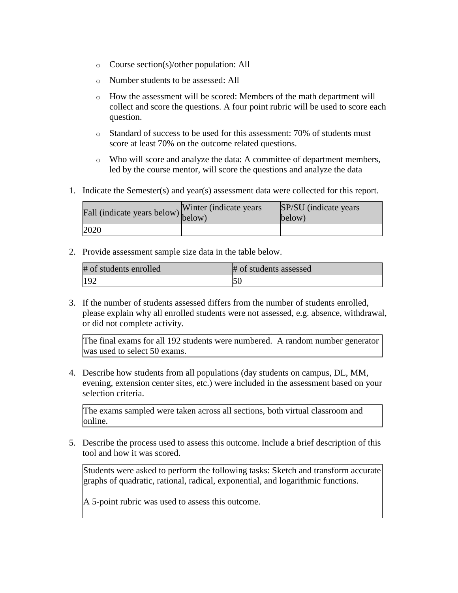- o Course section(s)/other population: All
- o Number students to be assessed: All
- o How the assessment will be scored: Members of the math department will collect and score the questions. A four point rubric will be used to score each question.
- o Standard of success to be used for this assessment: 70% of students must score at least 70% on the outcome related questions.
- o Who will score and analyze the data: A committee of department members, led by the course mentor, will score the questions and analyze the data
- 1. Indicate the Semester(s) and year(s) assessment data were collected for this report.

| Fall (indicate years below) below) | Winter (indicate years) | SP/SU (indicate years)<br>below) |
|------------------------------------|-------------------------|----------------------------------|
| 2020                               |                         |                                  |

2. Provide assessment sample size data in the table below.

| # of students enrolled | # of students assessed |
|------------------------|------------------------|
| 192                    |                        |

3. If the number of students assessed differs from the number of students enrolled, please explain why all enrolled students were not assessed, e.g. absence, withdrawal, or did not complete activity.

The final exams for all 192 students were numbered. A random number generator was used to select 50 exams.

4. Describe how students from all populations (day students on campus, DL, MM, evening, extension center sites, etc.) were included in the assessment based on your selection criteria.

The exams sampled were taken across all sections, both virtual classroom and online.

5. Describe the process used to assess this outcome. Include a brief description of this tool and how it was scored.

Students were asked to perform the following tasks: Sketch and transform accurate graphs of quadratic, rational, radical, exponential, and logarithmic functions.

A 5-point rubric was used to assess this outcome.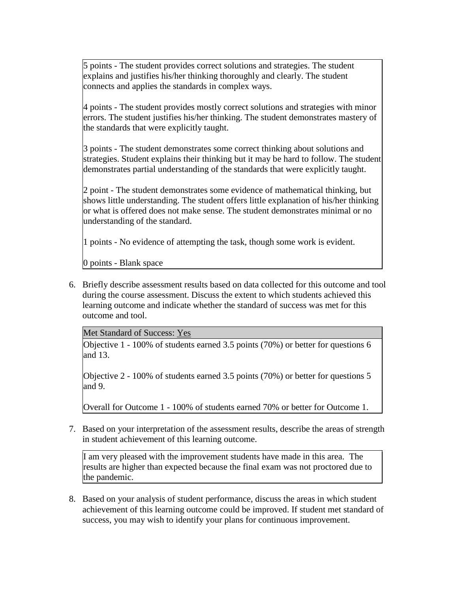5 points - The student provides correct solutions and strategies. The student explains and justifies his/her thinking thoroughly and clearly. The student connects and applies the standards in complex ways.

4 points - The student provides mostly correct solutions and strategies with minor errors. The student justifies his/her thinking. The student demonstrates mastery of the standards that were explicitly taught.

3 points - The student demonstrates some correct thinking about solutions and strategies. Student explains their thinking but it may be hard to follow. The student demonstrates partial understanding of the standards that were explicitly taught.

2 point - The student demonstrates some evidence of mathematical thinking, but shows little understanding. The student offers little explanation of his/her thinking or what is offered does not make sense. The student demonstrates minimal or no understanding of the standard.

1 points - No evidence of attempting the task, though some work is evident.

0 points - Blank space

6. Briefly describe assessment results based on data collected for this outcome and tool during the course assessment. Discuss the extent to which students achieved this learning outcome and indicate whether the standard of success was met for this outcome and tool.

Met Standard of Success: Yes

Objective 1 - 100% of students earned 3.5 points (70%) or better for questions 6 and 13.

Objective 2 - 100% of students earned 3.5 points (70%) or better for questions 5 and 9.

Overall for Outcome 1 - 100% of students earned 70% or better for Outcome 1.

7. Based on your interpretation of the assessment results, describe the areas of strength in student achievement of this learning outcome.

I am very pleased with the improvement students have made in this area. The results are higher than expected because the final exam was not proctored due to the pandemic.

8. Based on your analysis of student performance, discuss the areas in which student achievement of this learning outcome could be improved. If student met standard of success, you may wish to identify your plans for continuous improvement.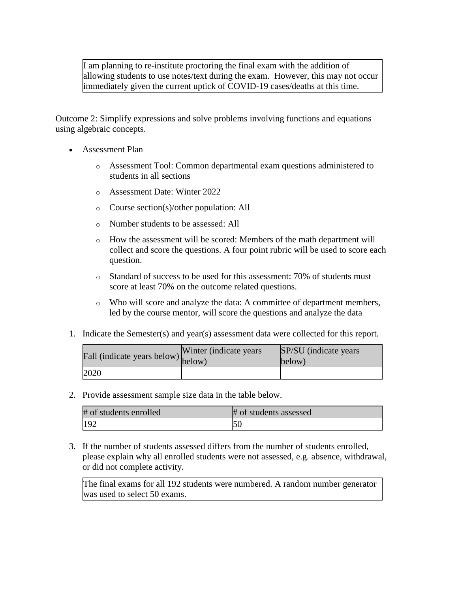I am planning to re-institute proctoring the final exam with the addition of allowing students to use notes/text during the exam. However, this may not occur immediately given the current uptick of COVID-19 cases/deaths at this time.

Outcome 2: Simplify expressions and solve problems involving functions and equations using algebraic concepts.

- Assessment Plan
	- o Assessment Tool: Common departmental exam questions administered to students in all sections
	- o Assessment Date: Winter 2022
	- o Course section(s)/other population: All
	- o Number students to be assessed: All
	- o How the assessment will be scored: Members of the math department will collect and score the questions. A four point rubric will be used to score each question.
	- o Standard of success to be used for this assessment: 70% of students must score at least 70% on the outcome related questions.
	- o Who will score and analyze the data: A committee of department members, led by the course mentor, will score the questions and analyze the data
- 1. Indicate the Semester(s) and year(s) assessment data were collected for this report.

| Fall (indicate years below) below) | Winter (indicate years) | SP/SU (indicate years)<br>below) |
|------------------------------------|-------------------------|----------------------------------|
| 2020                               |                         |                                  |

2. Provide assessment sample size data in the table below.

| # of students enrolled | # of students assessed |
|------------------------|------------------------|
| 192                    | 50                     |

3. If the number of students assessed differs from the number of students enrolled, please explain why all enrolled students were not assessed, e.g. absence, withdrawal, or did not complete activity.

The final exams for all 192 students were numbered. A random number generator was used to select 50 exams.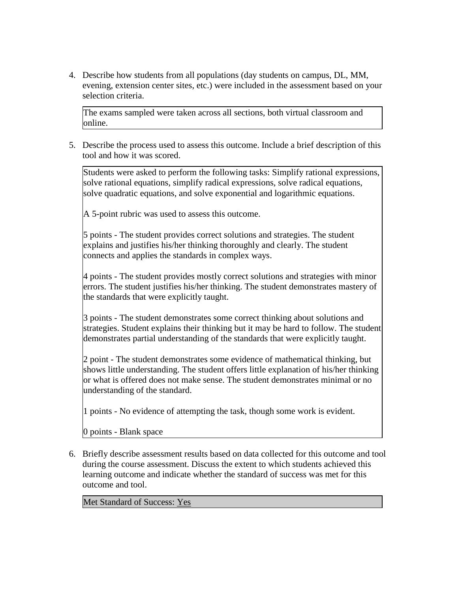4. Describe how students from all populations (day students on campus, DL, MM, evening, extension center sites, etc.) were included in the assessment based on your selection criteria.

The exams sampled were taken across all sections, both virtual classroom and online.

5. Describe the process used to assess this outcome. Include a brief description of this tool and how it was scored.

Students were asked to perform the following tasks: Simplify rational expressions, solve rational equations, simplify radical expressions, solve radical equations, solve quadratic equations, and solve exponential and logarithmic equations.

A 5-point rubric was used to assess this outcome.

5 points - The student provides correct solutions and strategies. The student explains and justifies his/her thinking thoroughly and clearly. The student connects and applies the standards in complex ways.

4 points - The student provides mostly correct solutions and strategies with minor errors. The student justifies his/her thinking. The student demonstrates mastery of the standards that were explicitly taught.

3 points - The student demonstrates some correct thinking about solutions and strategies. Student explains their thinking but it may be hard to follow. The student demonstrates partial understanding of the standards that were explicitly taught.

2 point - The student demonstrates some evidence of mathematical thinking, but shows little understanding. The student offers little explanation of his/her thinking or what is offered does not make sense. The student demonstrates minimal or no understanding of the standard.

1 points - No evidence of attempting the task, though some work is evident.

0 points - Blank space

6. Briefly describe assessment results based on data collected for this outcome and tool during the course assessment. Discuss the extent to which students achieved this learning outcome and indicate whether the standard of success was met for this outcome and tool.

Met Standard of Success: Yes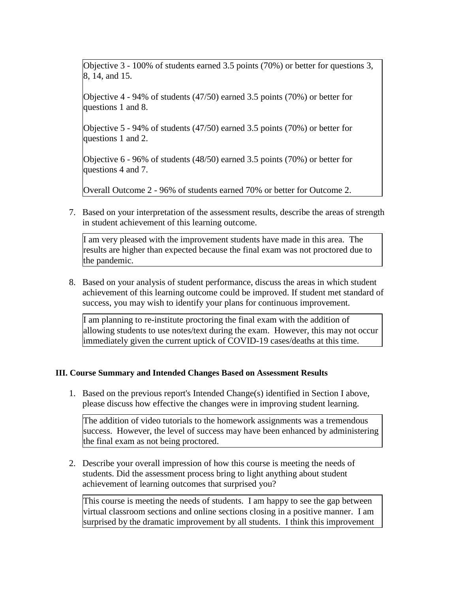Objective 3 - 100% of students earned 3.5 points (70%) or better for questions 3, 8, 14, and 15.

Objective 4 - 94% of students (47/50) earned 3.5 points (70%) or better for questions 1 and 8.

Objective 5 - 94% of students (47/50) earned 3.5 points (70%) or better for questions 1 and 2.

Objective 6 - 96% of students (48/50) earned 3.5 points (70%) or better for questions 4 and 7.

Overall Outcome 2 - 96% of students earned 70% or better for Outcome 2.

7. Based on your interpretation of the assessment results, describe the areas of strength in student achievement of this learning outcome.

I am very pleased with the improvement students have made in this area. The results are higher than expected because the final exam was not proctored due to the pandemic.

8. Based on your analysis of student performance, discuss the areas in which student achievement of this learning outcome could be improved. If student met standard of success, you may wish to identify your plans for continuous improvement.

I am planning to re-institute proctoring the final exam with the addition of allowing students to use notes/text during the exam. However, this may not occur immediately given the current uptick of COVID-19 cases/deaths at this time.

## **III. Course Summary and Intended Changes Based on Assessment Results**

1. Based on the previous report's Intended Change(s) identified in Section I above, please discuss how effective the changes were in improving student learning.

The addition of video tutorials to the homework assignments was a tremendous success. However, the level of success may have been enhanced by administering the final exam as not being proctored.

2. Describe your overall impression of how this course is meeting the needs of students. Did the assessment process bring to light anything about student achievement of learning outcomes that surprised you?

This course is meeting the needs of students. I am happy to see the gap between virtual classroom sections and online sections closing in a positive manner. I am surprised by the dramatic improvement by all students. I think this improvement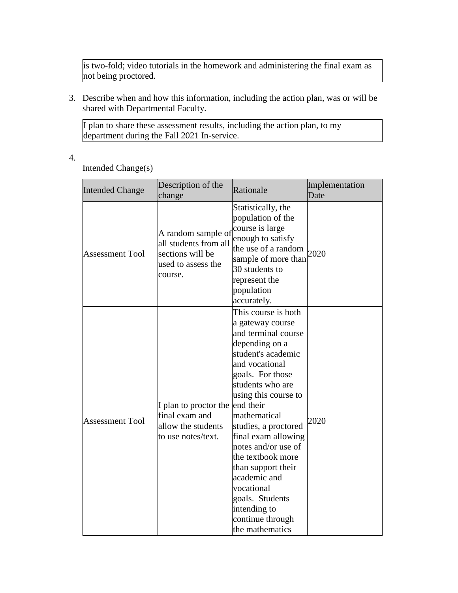is two-fold; video tutorials in the homework and administering the final exam as not being proctored.

3. Describe when and how this information, including the action plan, was or will be shared with Departmental Faculty.

I plan to share these assessment results, including the action plan, to my department during the Fall 2021 In-service.

4.

Intended Change(s)

| <b>Intended Change</b> | Description of the<br>change                                                                     | Rationale                                                                                                                                                                                                                                                                                                                                                                                                                         | Implementation<br>Date |
|------------------------|--------------------------------------------------------------------------------------------------|-----------------------------------------------------------------------------------------------------------------------------------------------------------------------------------------------------------------------------------------------------------------------------------------------------------------------------------------------------------------------------------------------------------------------------------|------------------------|
| <b>Assessment Tool</b> | A random sample of<br>all students from all<br>sections will be<br>used to assess the<br>course. | Statistically, the<br>population of the<br>course is large<br>enough to satisfy<br>the use of a random<br>sample of more than<br>30 students to<br>represent the<br>population<br>accurately.                                                                                                                                                                                                                                     | 2020                   |
| <b>Assessment Tool</b> | I plan to proctor the end their<br>final exam and<br>allow the students<br>to use notes/text.    | This course is both<br>a gateway course<br>and terminal course<br>depending on a<br>student's academic<br>and vocational<br>goals. For those<br>students who are<br>using this course to<br>mathematical<br>studies, a proctored<br>final exam allowing<br>notes and/or use of<br>the textbook more<br>than support their<br>academic and<br>vocational<br>goals. Students<br>intending to<br>continue through<br>the mathematics | 2020                   |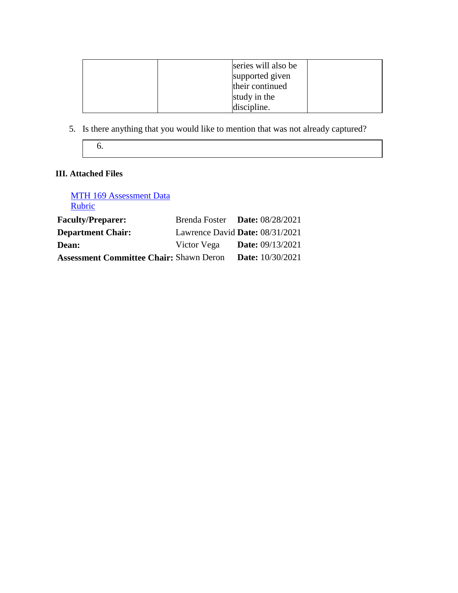| series will also be<br>supported given<br>their continued |  |
|-----------------------------------------------------------|--|
| study in the<br>discipline.                               |  |

5. Is there anything that you would like to mention that was not already captured?

6.

# **III. Attached Files**

[MTH 169 Assessment Data](documents/MTH%20169%20Assessment%20Data.xlsx) [Rubric](documents/Rubric%20(Truncated%20Version)%20MTH%20169%20Assessment%20SpSu%202021.pdf)

| <b>Faculty/Preparer:</b>                       | Brenda Foster Date: 08/28/2021  |                           |
|------------------------------------------------|---------------------------------|---------------------------|
| <b>Department Chair:</b>                       | Lawrence David Date: 08/31/2021 |                           |
| Dean:                                          | Victor Vega                     | <b>Date:</b> $09/13/2021$ |
| <b>Assessment Committee Chair: Shawn Deron</b> |                                 | <b>Date:</b> $10/30/2021$ |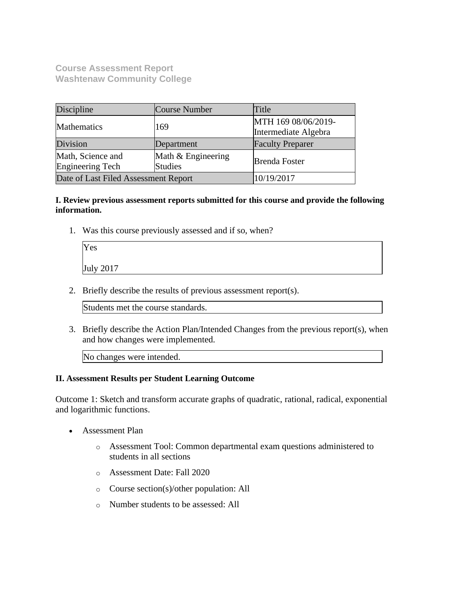**Course Assessment Report Washtenaw Community College**

| Discipline                            | Course Number                        | Title                                       |
|---------------------------------------|--------------------------------------|---------------------------------------------|
| Mathematics                           | 169                                  | MTH 169 08/06/2019-<br>Intermediate Algebra |
| Division                              | Department                           | <b>Faculty Preparer</b>                     |
| Math, Science and<br>Engineering Tech | Math & Engineering<br><b>Studies</b> | <b>Brenda Foster</b>                        |
| Date of Last Filed Assessment Report  |                                      | 10/19/2017                                  |

## **I. Review previous assessment reports submitted for this course and provide the following information.**

1. Was this course previously assessed and if so, when?

| Yes              |  |  |
|------------------|--|--|
| <b>July 2017</b> |  |  |

2. Briefly describe the results of previous assessment report(s).

Students met the course standards.

3. Briefly describe the Action Plan/Intended Changes from the previous report(s), when and how changes were implemented.

No changes were intended.

#### **II. Assessment Results per Student Learning Outcome**

Outcome 1: Sketch and transform accurate graphs of quadratic, rational, radical, exponential and logarithmic functions.

- Assessment Plan
	- o Assessment Tool: Common departmental exam questions administered to students in all sections
	- o Assessment Date: Fall 2020
	- o Course section(s)/other population: All
	- o Number students to be assessed: All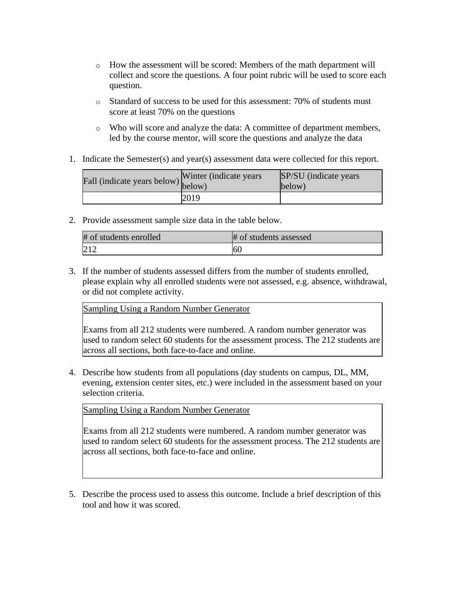- o How the assessment will be scored: Members of the math department will collect and score the questions. A four point rubric will be used to score each question.
- o Standard of success to be used for this assessment: 70% of students must score at least 70% on the questions
- o Who will score and analyze the data: A committee of department members, led by the course mentor, will score the questions and analyze the data
- 1. Indicate the Semester(s) and year(s) assessment data were collected for this report.

| Fall (indicate years below) below) | Winter (indicate years) | SP/SU (indicate years)<br>below) |
|------------------------------------|-------------------------|----------------------------------|
|                                    | 2019                    |                                  |

2. Provide assessment sample size data in the table below.

| # of students enrolled | # of students assessed |
|------------------------|------------------------|
| 212                    | 60                     |

3. If the number of students assessed differs from the number of students enrolled, please explain why all enrolled students were not assessed, e.g. absence, withdrawal, or did not complete activity.

Sampling Using a Random Number Generator

Exams from all 212 students were numbered. A random number generator was used to random select 60 students for the assessment process. The 212 students are across all sections, both face-to-face and online.

4. Describe how students from all populations (day students on campus, DL, MM, evening, extension center sites, etc.) were included in the assessment based on your selection criteria.

Sampling Using a Random Number Generator

Exams from all 212 students were numbered. A random number generator was used to random select 60 students for the assessment process. The 212 students are across all sections, both face-to-face and online.

5. Describe the process used to assess this outcome. Include a brief description of this tool and how it was scored.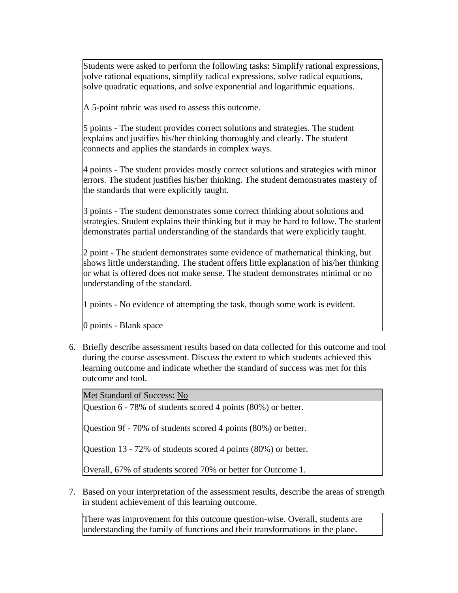Students were asked to perform the following tasks: Simplify rational expressions, solve rational equations, simplify radical expressions, solve radical equations, solve quadratic equations, and solve exponential and logarithmic equations.

A 5-point rubric was used to assess this outcome.

5 points - The student provides correct solutions and strategies. The student explains and justifies his/her thinking thoroughly and clearly. The student connects and applies the standards in complex ways.

4 points - The student provides mostly correct solutions and strategies with minor errors. The student justifies his/her thinking. The student demonstrates mastery of the standards that were explicitly taught.

3 points - The student demonstrates some correct thinking about solutions and strategies. Student explains their thinking but it may be hard to follow. The student demonstrates partial understanding of the standards that were explicitly taught.

2 point - The student demonstrates some evidence of mathematical thinking, but shows little understanding. The student offers little explanation of his/her thinking or what is offered does not make sense. The student demonstrates minimal or no understanding of the standard.

1 points - No evidence of attempting the task, though some work is evident.

0 points - Blank space

6. Briefly describe assessment results based on data collected for this outcome and tool during the course assessment. Discuss the extent to which students achieved this learning outcome and indicate whether the standard of success was met for this outcome and tool.

Met Standard of Success: No

Question 6 - 78% of students scored 4 points (80%) or better.

Question 9f - 70% of students scored 4 points (80%) or better.

Question 13 - 72% of students scored 4 points (80%) or better.

Overall, 67% of students scored 70% or better for Outcome 1.

7. Based on your interpretation of the assessment results, describe the areas of strength in student achievement of this learning outcome.

There was improvement for this outcome question-wise. Overall, students are understanding the family of functions and their transformations in the plane.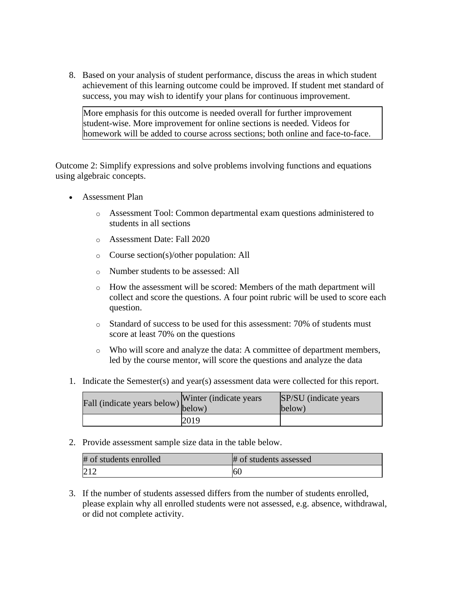8. Based on your analysis of student performance, discuss the areas in which student achievement of this learning outcome could be improved. If student met standard of success, you may wish to identify your plans for continuous improvement.

More emphasis for this outcome is needed overall for further improvement student-wise. More improvement for online sections is needed. Videos for homework will be added to course across sections; both online and face-to-face.

Outcome 2: Simplify expressions and solve problems involving functions and equations using algebraic concepts.

- Assessment Plan
	- o Assessment Tool: Common departmental exam questions administered to students in all sections
	- o Assessment Date: Fall 2020
	- o Course section(s)/other population: All
	- o Number students to be assessed: All
	- o How the assessment will be scored: Members of the math department will collect and score the questions. A four point rubric will be used to score each question.
	- o Standard of success to be used for this assessment: 70% of students must score at least 70% on the questions
	- o Who will score and analyze the data: A committee of department members, led by the course mentor, will score the questions and analyze the data
- 1. Indicate the Semester(s) and year(s) assessment data were collected for this report.

| Fall (indicate years below) below) | Winter (indicate years) | SP/SU (indicate years)<br>below) |
|------------------------------------|-------------------------|----------------------------------|
|                                    | 2019                    |                                  |

2. Provide assessment sample size data in the table below.

| # of students enrolled | # of students assessed |
|------------------------|------------------------|
| $\sqrt{21}$            | 60                     |

3. If the number of students assessed differs from the number of students enrolled, please explain why all enrolled students were not assessed, e.g. absence, withdrawal, or did not complete activity.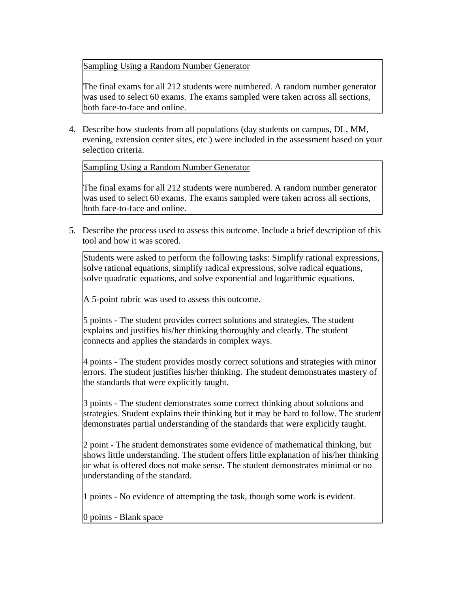Sampling Using a Random Number Generator

The final exams for all 212 students were numbered. A random number generator was used to select 60 exams. The exams sampled were taken across all sections, both face-to-face and online.

4. Describe how students from all populations (day students on campus, DL, MM, evening, extension center sites, etc.) were included in the assessment based on your selection criteria.

Sampling Using a Random Number Generator

The final exams for all 212 students were numbered. A random number generator was used to select 60 exams. The exams sampled were taken across all sections, both face-to-face and online.

5. Describe the process used to assess this outcome. Include a brief description of this tool and how it was scored.

Students were asked to perform the following tasks: Simplify rational expressions, solve rational equations, simplify radical expressions, solve radical equations, solve quadratic equations, and solve exponential and logarithmic equations.

A 5-point rubric was used to assess this outcome.

5 points - The student provides correct solutions and strategies. The student explains and justifies his/her thinking thoroughly and clearly. The student connects and applies the standards in complex ways.

4 points - The student provides mostly correct solutions and strategies with minor errors. The student justifies his/her thinking. The student demonstrates mastery of the standards that were explicitly taught.

3 points - The student demonstrates some correct thinking about solutions and strategies. Student explains their thinking but it may be hard to follow. The student demonstrates partial understanding of the standards that were explicitly taught.

2 point - The student demonstrates some evidence of mathematical thinking, but shows little understanding. The student offers little explanation of his/her thinking or what is offered does not make sense. The student demonstrates minimal or no understanding of the standard.

1 points - No evidence of attempting the task, though some work is evident.

0 points - Blank space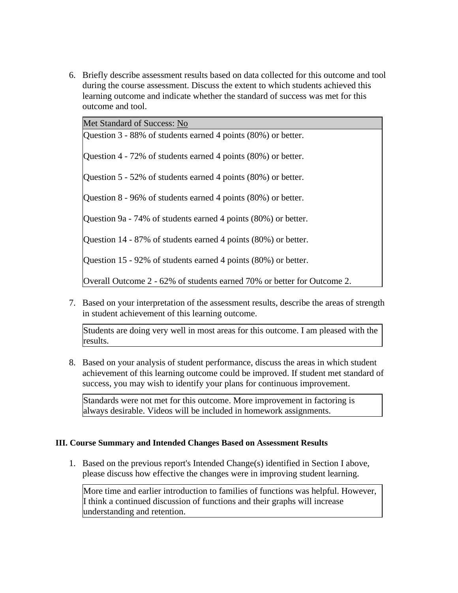6. Briefly describe assessment results based on data collected for this outcome and tool during the course assessment. Discuss the extent to which students achieved this learning outcome and indicate whether the standard of success was met for this outcome and tool.

Met Standard of Success: No

Question 3 - 88% of students earned 4 points (80%) or better.

Question 4 - 72% of students earned 4 points (80%) or better.

Question 5 - 52% of students earned 4 points (80%) or better.

Question 8 - 96% of students earned 4 points (80%) or better.

Question 9a - 74% of students earned 4 points (80%) or better.

Question 14 - 87% of students earned 4 points (80%) or better.

Question 15 - 92% of students earned 4 points (80%) or better.

Overall Outcome 2 - 62% of students earned 70% or better for Outcome 2.

7. Based on your interpretation of the assessment results, describe the areas of strength in student achievement of this learning outcome.

Students are doing very well in most areas for this outcome. I am pleased with the results.

8. Based on your analysis of student performance, discuss the areas in which student achievement of this learning outcome could be improved. If student met standard of success, you may wish to identify your plans for continuous improvement.

Standards were not met for this outcome. More improvement in factoring is always desirable. Videos will be included in homework assignments.

#### **III. Course Summary and Intended Changes Based on Assessment Results**

1. Based on the previous report's Intended Change(s) identified in Section I above, please discuss how effective the changes were in improving student learning.

More time and earlier introduction to families of functions was helpful. However, I think a continued discussion of functions and their graphs will increase understanding and retention.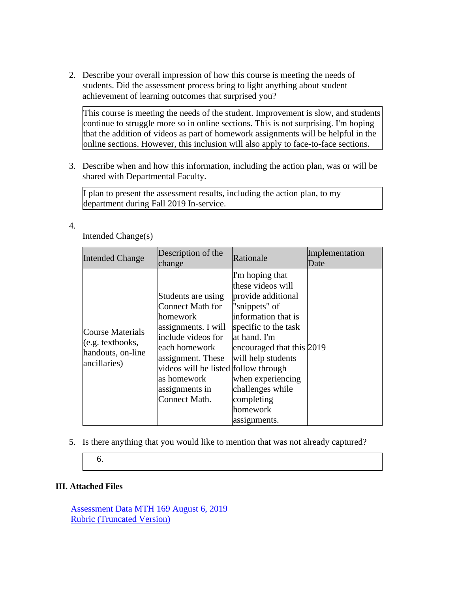2. Describe your overall impression of how this course is meeting the needs of students. Did the assessment process bring to light anything about student achievement of learning outcomes that surprised you?

This course is meeting the needs of the student. Improvement is slow, and students continue to struggle more so in online sections. This is not surprising. I'm hoping that the addition of videos as part of homework assignments will be helpful in the online sections. However, this inclusion will also apply to face-to-face sections.

3. Describe when and how this information, including the action plan, was or will be shared with Departmental Faculty.

I plan to present the assessment results, including the action plan, to my department during Fall 2019 In-service.

4.

Intended Change(s)

| <b>Intended Change</b>                                                             | Description of the<br>change                                                                                                                                                                                                           | Rationale                                                                                                                                                                                                                                                                        | Implementation<br>Date |
|------------------------------------------------------------------------------------|----------------------------------------------------------------------------------------------------------------------------------------------------------------------------------------------------------------------------------------|----------------------------------------------------------------------------------------------------------------------------------------------------------------------------------------------------------------------------------------------------------------------------------|------------------------|
| Course Materials<br>$(e.g. \text{textbooks},$<br>handouts, on-line<br>ancillaries) | Students are using<br><b>Connect Math for</b><br>homework<br>assignments. I will<br>include videos for<br>each homework<br>assignment. These<br>videos will be listed follow through<br>as homework<br>assignments in<br>Connect Math. | I'm hoping that<br>these videos will<br>provide additional<br>"snippets" of<br>information that is<br>specific to the task<br>at hand. I'm<br>encouraged that this 2019<br>will help students<br>when experiencing<br>challenges while<br>completing<br>homework<br>assignments. |                        |

- 5. Is there anything that you would like to mention that was not already captured?
	- 6.

## **III. Attached Files**

[Assessment Data MTH 169 August](documents/Assessment%20Data%20MTH%20169%20August%206,%202019.xlsx) 6, 2019 [Rubric \(Truncated Version\)](documents/Rubric%20(Truncated%20Version)%20MTH%20169%20Assessment%20August%206,%2020191.pdf)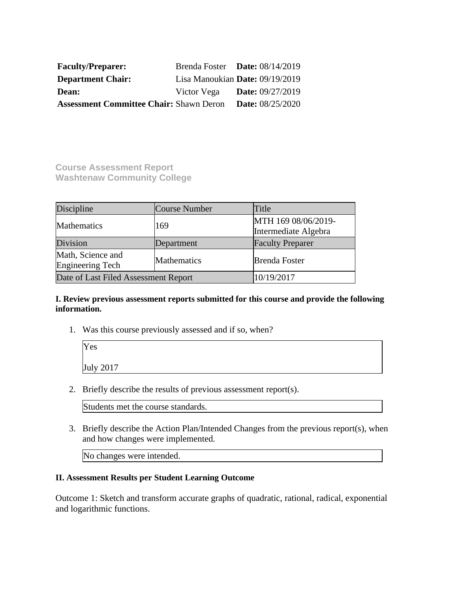| <b>Faculty/Preparer:</b>                       | Brenda Foster Date: $08/14/2019$ |                           |
|------------------------------------------------|----------------------------------|---------------------------|
| <b>Department Chair:</b>                       | Lisa Manoukian Date: 09/19/2019  |                           |
| <b>Dean:</b>                                   | Victor Vega                      | <b>Date:</b> 09/27/2019   |
| <b>Assessment Committee Chair: Shawn Deron</b> |                                  | <b>Date:</b> $08/25/2020$ |

**Course Assessment Report Washtenaw Community College** 

| Discipline                            | Course Number      | Title                                       |
|---------------------------------------|--------------------|---------------------------------------------|
| Mathematics                           | 169                | MTH 169 08/06/2019-<br>Intermediate Algebra |
| Division                              | Department         | <b>Faculty Preparer</b>                     |
| Math, Science and<br>Engineering Tech | <b>Mathematics</b> | <b>Brenda Foster</b>                        |
| Date of Last Filed Assessment Report  |                    | 10/19/2017                                  |

#### **I. Review previous assessment reports submitted for this course and provide the following information.**

1. Was this course previously assessed and if so, when?

| Yes              |  |  |
|------------------|--|--|
| <b>July 2017</b> |  |  |

2. Briefly describe the results of previous assessment report(s).

Students met the course standards.

3. Briefly describe the Action Plan/Intended Changes from the previous report(s), when and how changes were implemented.

No changes were intended.

### **II. Assessment Results per Student Learning Outcome**

Outcome 1: Sketch and transform accurate graphs of quadratic, rational, radical, exponential and logarithmic functions.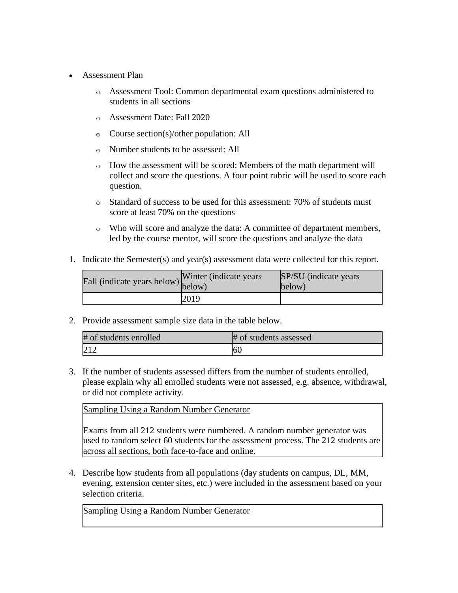- Assessment Plan
	- o Assessment Tool: Common departmental exam questions administered to students in all sections
	- o Assessment Date: Fall 2020
	- o Course section(s)/other population: All
	- o Number students to be assessed: All
	- o How the assessment will be scored: Members of the math department will collect and score the questions. A four point rubric will be used to score each question.
	- o Standard of success to be used for this assessment: 70% of students must score at least 70% on the questions
	- o Who will score and analyze the data: A committee of department members, led by the course mentor, will score the questions and analyze the data
- 1. Indicate the Semester(s) and year(s) assessment data were collected for this report.

| Fall (indicate years below) $\begin{bmatrix} \text{w}\text{m} \\ \text{below} \end{bmatrix}$ | Winter (indicate years) | SP/SU (indicate years)<br>below) |
|----------------------------------------------------------------------------------------------|-------------------------|----------------------------------|
|                                                                                              | 2019                    |                                  |

2. Provide assessment sample size data in the table below.

| # of students enrolled | # of students assessed |
|------------------------|------------------------|
| 212                    | 60                     |

3. If the number of students assessed differs from the number of students enrolled, please explain why all enrolled students were not assessed, e.g. absence, withdrawal, or did not complete activity.

Sampling Using a Random Number Generator

Exams from all 212 students were numbered. A random number generator was used to random select 60 students for the assessment process. The 212 students are across all sections, both face-to-face and online.

4. Describe how students from all populations (day students on campus, DL, MM, evening, extension center sites, etc.) were included in the assessment based on your selection criteria.

Sampling Using a Random Number Generator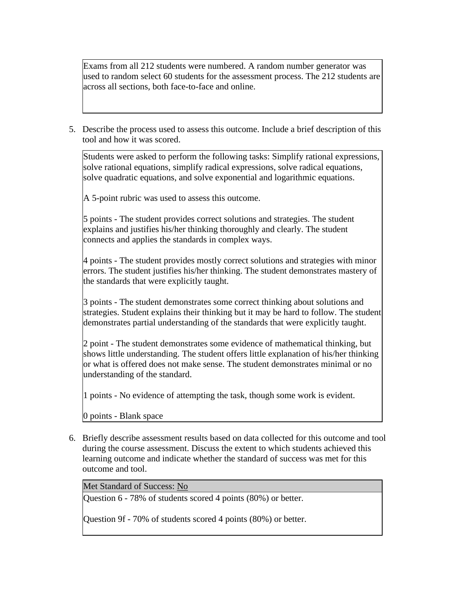Exams from all 212 students were numbered. A random number generator was used to random select 60 students for the assessment process. The 212 students are across all sections, both face-to-face and online.

5. Describe the process used to assess this outcome. Include a brief description of this tool and how it was scored.

Students were asked to perform the following tasks: Simplify rational expressions, solve rational equations, simplify radical expressions, solve radical equations, solve quadratic equations, and solve exponential and logarithmic equations.

A 5-point rubric was used to assess this outcome.

5 points - The student provides correct solutions and strategies. The student explains and justifies his/her thinking thoroughly and clearly. The student connects and applies the standards in complex ways.

4 points - The student provides mostly correct solutions and strategies with minor errors. The student justifies his/her thinking. The student demonstrates mastery of the standards that were explicitly taught.

3 points - The student demonstrates some correct thinking about solutions and strategies. Student explains their thinking but it may be hard to follow. The student demonstrates partial understanding of the standards that were explicitly taught.

2 point - The student demonstrates some evidence of mathematical thinking, but shows little understanding. The student offers little explanation of his/her thinking or what is offered does not make sense. The student demonstrates minimal or no understanding of the standard.

1 points - No evidence of attempting the task, though some work is evident.

0 points - Blank space

6. Briefly describe assessment results based on data collected for this outcome and tool during the course assessment. Discuss the extent to which students achieved this learning outcome and indicate whether the standard of success was met for this outcome and tool.

Met Standard of Success: No

Question 6 - 78% of students scored 4 points (80%) or better.

Question 9f - 70% of students scored 4 points (80%) or better.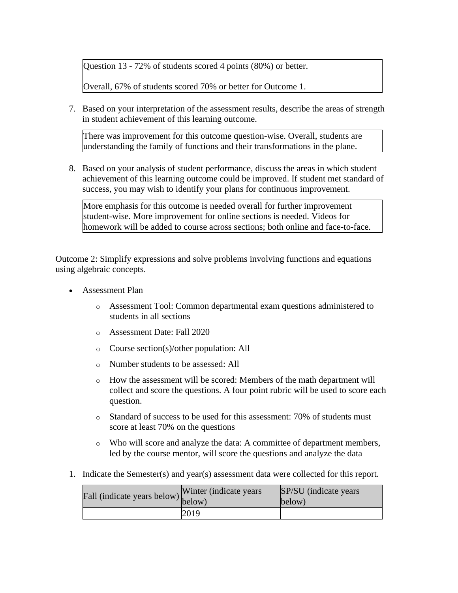Question 13 - 72% of students scored 4 points (80%) or better.

Overall, 67% of students scored 70% or better for Outcome 1.

7. Based on your interpretation of the assessment results, describe the areas of strength in student achievement of this learning outcome.

There was improvement for this outcome question-wise. Overall, students are understanding the family of functions and their transformations in the plane.

8. Based on your analysis of student performance, discuss the areas in which student achievement of this learning outcome could be improved. If student met standard of success, you may wish to identify your plans for continuous improvement.

More emphasis for this outcome is needed overall for further improvement student-wise. More improvement for online sections is needed. Videos for homework will be added to course across sections; both online and face-to-face.

Outcome 2: Simplify expressions and solve problems involving functions and equations using algebraic concepts.

- Assessment Plan
	- o Assessment Tool: Common departmental exam questions administered to students in all sections
	- o Assessment Date: Fall 2020
	- o Course section(s)/other population: All
	- o Number students to be assessed: All
	- o How the assessment will be scored: Members of the math department will collect and score the questions. A four point rubric will be used to score each question.
	- o Standard of success to be used for this assessment: 70% of students must score at least 70% on the questions
	- o Who will score and analyze the data: A committee of department members, led by the course mentor, will score the questions and analyze the data
- 1. Indicate the Semester(s) and year(s) assessment data were collected for this report.

| riall (indicate years below) below) | Winter (indicate years) | SP/SU (indicate years)<br>below) |
|-------------------------------------|-------------------------|----------------------------------|
|                                     | 2019                    |                                  |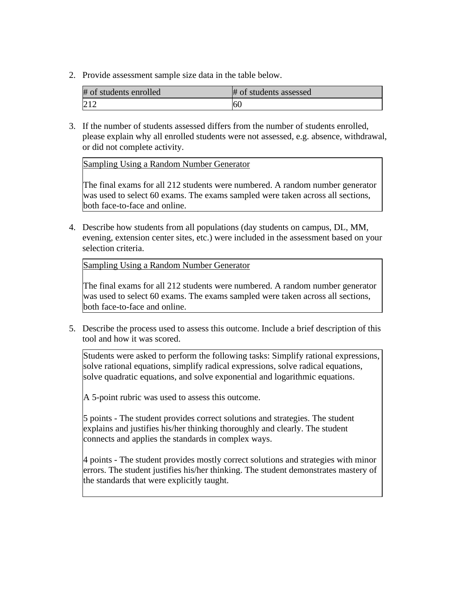2. Provide assessment sample size data in the table below.

| # of students enrolled | # of students assessed |
|------------------------|------------------------|
| 212                    | 60                     |

3. If the number of students assessed differs from the number of students enrolled, please explain why all enrolled students were not assessed, e.g. absence, withdrawal, or did not complete activity.

Sampling Using a Random Number Generator

The final exams for all 212 students were numbered. A random number generator was used to select 60 exams. The exams sampled were taken across all sections, both face-to-face and online.

4. Describe how students from all populations (day students on campus, DL, MM, evening, extension center sites, etc.) were included in the assessment based on your selection criteria.

Sampling Using a Random Number Generator

The final exams for all 212 students were numbered. A random number generator was used to select 60 exams. The exams sampled were taken across all sections, both face-to-face and online.

5. Describe the process used to assess this outcome. Include a brief description of this tool and how it was scored.

Students were asked to perform the following tasks: Simplify rational expressions, solve rational equations, simplify radical expressions, solve radical equations, solve quadratic equations, and solve exponential and logarithmic equations.

A 5-point rubric was used to assess this outcome.

5 points - The student provides correct solutions and strategies. The student explains and justifies his/her thinking thoroughly and clearly. The student connects and applies the standards in complex ways.

4 points - The student provides mostly correct solutions and strategies with minor errors. The student justifies his/her thinking. The student demonstrates mastery of the standards that were explicitly taught.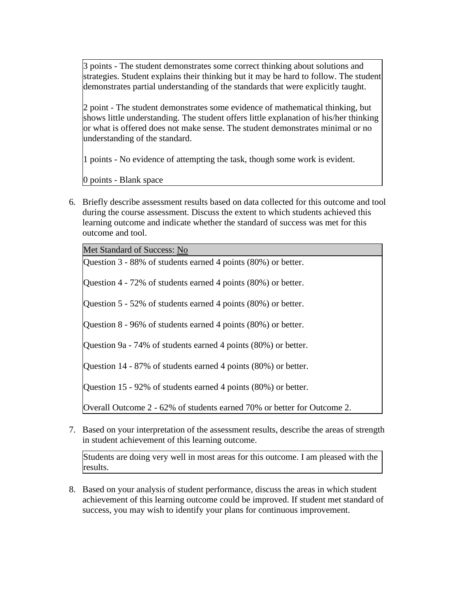3 points - The student demonstrates some correct thinking about solutions and strategies. Student explains their thinking but it may be hard to follow. The student demonstrates partial understanding of the standards that were explicitly taught.

2 point - The student demonstrates some evidence of mathematical thinking, but shows little understanding. The student offers little explanation of his/her thinking or what is offered does not make sense. The student demonstrates minimal or no understanding of the standard.

1 points - No evidence of attempting the task, though some work is evident.

0 points - Blank space

6. Briefly describe assessment results based on data collected for this outcome and tool during the course assessment. Discuss the extent to which students achieved this learning outcome and indicate whether the standard of success was met for this outcome and tool.

Met Standard of Success: No

Question 3 - 88% of students earned 4 points (80%) or better.

Question 4 - 72% of students earned 4 points (80%) or better.

Question 5 - 52% of students earned 4 points (80%) or better.

Question 8 - 96% of students earned 4 points (80%) or better.

Question 9a - 74% of students earned 4 points (80%) or better.

Question 14 - 87% of students earned 4 points (80%) or better.

Question 15 - 92% of students earned 4 points (80%) or better.

Overall Outcome 2 - 62% of students earned 70% or better for Outcome 2.

7. Based on your interpretation of the assessment results, describe the areas of strength in student achievement of this learning outcome.

Students are doing very well in most areas for this outcome. I am pleased with the results.

8. Based on your analysis of student performance, discuss the areas in which student achievement of this learning outcome could be improved. If student met standard of success, you may wish to identify your plans for continuous improvement.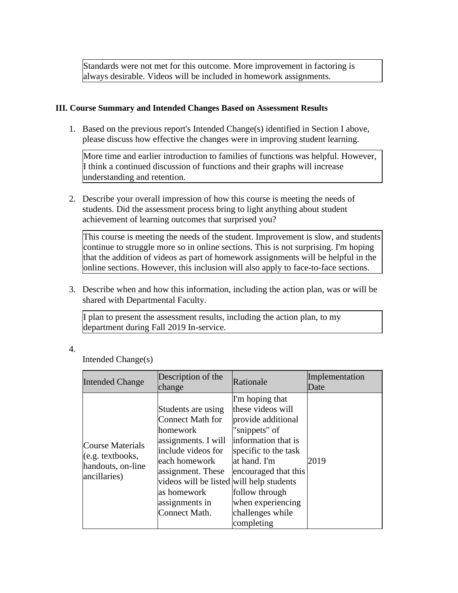Standards were not met for this outcome. More improvement in factoring is always desirable. Videos will be included in homework assignments.

### **III. Course Summary and Intended Changes Based on Assessment Results**

1. Based on the previous report's Intended Change(s) identified in Section I above, please discuss how effective the changes were in improving student learning.

More time and earlier introduction to families of functions was helpful. However, I think a continued discussion of functions and their graphs will increase understanding and retention.

2. Describe your overall impression of how this course is meeting the needs of students. Did the assessment process bring to light anything about student achievement of learning outcomes that surprised you?

This course is meeting the needs of the student. Improvement is slow, and students continue to struggle more so in online sections. This is not surprising. I'm hoping that the addition of videos as part of homework assignments will be helpful in the online sections. However, this inclusion will also apply to face-to-face sections.

3. Describe when and how this information, including the action plan, was or will be shared with Departmental Faculty.

I plan to present the assessment results, including the action plan, to my department during Fall 2019 In-service.

### 4.

Intended Change(s)

| <b>Intended Change</b>                                                             | Description of the<br>change                                                                                                                                                                                                        | Rationale                                                                                                                                                                                                                                    | Implementation<br>Date |
|------------------------------------------------------------------------------------|-------------------------------------------------------------------------------------------------------------------------------------------------------------------------------------------------------------------------------------|----------------------------------------------------------------------------------------------------------------------------------------------------------------------------------------------------------------------------------------------|------------------------|
| Course Materials<br>$(e.g. \text{textbooks},$<br>handouts, on-line<br>ancillaries) | Students are using<br>Connect Math for<br>homework<br>assignments. I will<br>include videos for<br>each homework<br>assignment. These<br>videos will be listed will help students<br>as homework<br>assignments in<br>Connect Math. | I'm hoping that<br>these videos will<br>provide additional<br>"snippets" of<br>information that is<br>specific to the task<br>lat hand. I'm<br>encouraged that this<br>follow through<br>when experiencing<br>challenges while<br>completing | 2019                   |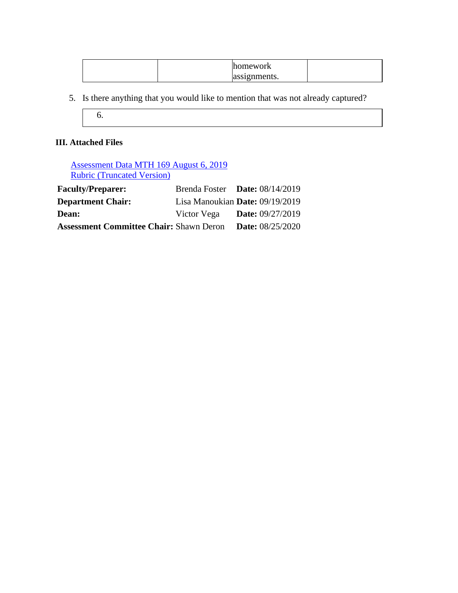| homework     |  |
|--------------|--|
| assignments. |  |

- 5. Is there anything that you would like to mention that was not already captured?
	- 6.

# **III. Attached Files**

[Assessment Data MTH 169 August 6, 2019](documents/Assessment%20Data%20MTH%20169%20August%206,%202019.xlsx) [Rubric \(Truncated Version\)](documents/Rubric%20(Truncated%20Version)%20MTH%20169%20Assessment%20August%206,%2020191.pdf) **Faculty/Preparer:** Brenda Foster **Date:** 08/14/2019 **Department Chair:** Lisa Manoukian **Date:** 09/19/2019

| <b>Dean:</b>                                   | Victor Vega | <b>Date:</b> $09/27/2019$ |
|------------------------------------------------|-------------|---------------------------|
| <b>Assessment Committee Chair: Shawn Deron</b> |             | <b>Date:</b> $08/25/2020$ |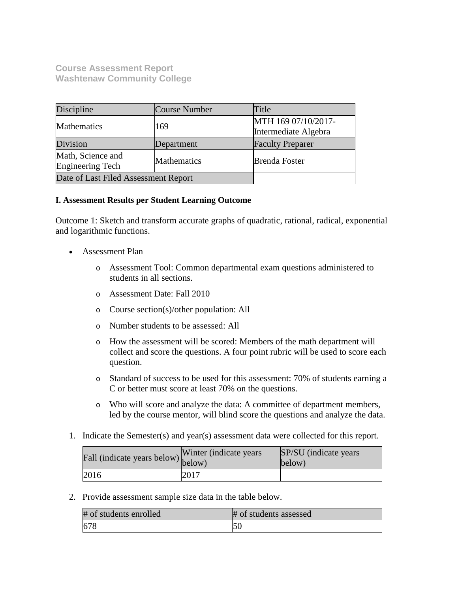**Course Assessment Report Washtenaw Community College**

| Discipline                            | Course Number | Title                                       |
|---------------------------------------|---------------|---------------------------------------------|
| Mathematics                           | 169           | MTH 169 07/10/2017-<br>Intermediate Algebra |
| Division                              | Department    | <b>Faculty Preparer</b>                     |
| Math, Science and<br>Engineering Tech | Mathematics   | <b>Brenda Foster</b>                        |
| Date of Last Filed Assessment Report  |               |                                             |

### **I. Assessment Results per Student Learning Outcome**

Outcome 1: Sketch and transform accurate graphs of quadratic, rational, radical, exponential and logarithmic functions.

- Assessment Plan
	- o Assessment Tool: Common departmental exam questions administered to students in all sections.
	- o Assessment Date: Fall 2010
	- o Course section(s)/other population: All
	- o Number students to be assessed: All
	- o How the assessment will be scored: Members of the math department will collect and score the questions. A four point rubric will be used to score each question.
	- o Standard of success to be used for this assessment: 70% of students earning a C or better must score at least 70% on the questions.
	- o Who will score and analyze the data: A committee of department members, led by the course mentor, will blind score the questions and analyze the data.
- 1. Indicate the Semester(s) and year(s) assessment data were collected for this report.

| Fall (indicate years below) below) | Winter (indicate years) | SP/SU (indicate years)<br>below) |
|------------------------------------|-------------------------|----------------------------------|
| 2016                               | 2017                    |                                  |

2. Provide assessment sample size data in the table below.

| # of students enrolled | # of students assessed |
|------------------------|------------------------|
|                        |                        |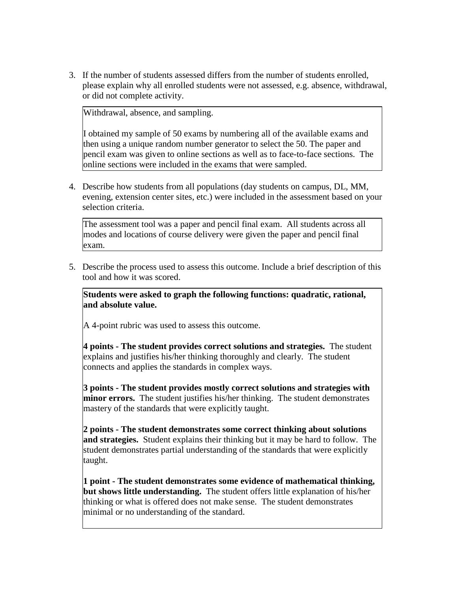3. If the number of students assessed differs from the number of students enrolled, please explain why all enrolled students were not assessed, e.g. absence, withdrawal, or did not complete activity.

Withdrawal, absence, and sampling.

I obtained my sample of 50 exams by numbering all of the available exams and then using a unique random number generator to select the 50. The paper and pencil exam was given to online sections as well as to face-to-face sections. The online sections were included in the exams that were sampled.

4. Describe how students from all populations (day students on campus, DL, MM, evening, extension center sites, etc.) were included in the assessment based on your selection criteria.

The assessment tool was a paper and pencil final exam. All students across all modes and locations of course delivery were given the paper and pencil final exam.

5. Describe the process used to assess this outcome. Include a brief description of this tool and how it was scored.

**Students were asked to graph the following functions: quadratic, rational, and absolute value.**

A 4-point rubric was used to assess this outcome.

**4 points - The student provides correct solutions and strategies.** The student explains and justifies his/her thinking thoroughly and clearly. The student connects and applies the standards in complex ways.

**3 points - The student provides mostly correct solutions and strategies with minor errors.** The student justifies his/her thinking. The student demonstrates mastery of the standards that were explicitly taught.

**2 points - The student demonstrates some correct thinking about solutions and strategies.** Student explains their thinking but it may be hard to follow. The student demonstrates partial understanding of the standards that were explicitly taught.

**1 point - The student demonstrates some evidence of mathematical thinking, but shows little understanding.** The student offers little explanation of his/her thinking or what is offered does not make sense. The student demonstrates minimal or no understanding of the standard.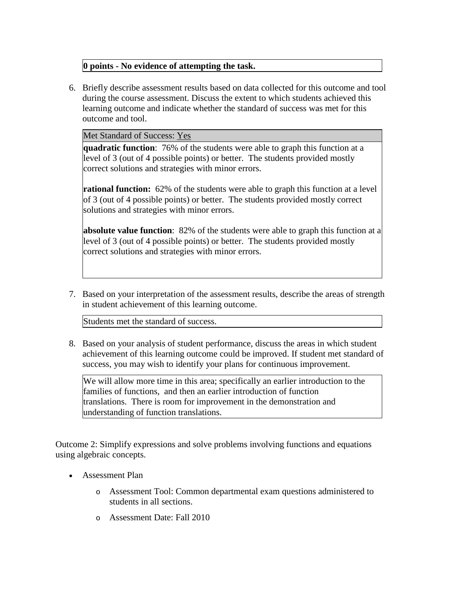## **0 points - No evidence of attempting the task.**

6. Briefly describe assessment results based on data collected for this outcome and tool during the course assessment. Discuss the extent to which students achieved this learning outcome and indicate whether the standard of success was met for this outcome and tool.

## Met Standard of Success: Yes

**quadratic function**: 76% of the students were able to graph this function at a level of 3 (out of 4 possible points) or better. The students provided mostly correct solutions and strategies with minor errors.

**rational function:** 62% of the students were able to graph this function at a level of 3 (out of 4 possible points) or better. The students provided mostly correct solutions and strategies with minor errors.

**absolute value function**: 82% of the students were able to graph this function at a level of 3 (out of 4 possible points) or better. The students provided mostly correct solutions and strategies with minor errors.

7. Based on your interpretation of the assessment results, describe the areas of strength in student achievement of this learning outcome.

Students met the standard of success.

8. Based on your analysis of student performance, discuss the areas in which student achievement of this learning outcome could be improved. If student met standard of success, you may wish to identify your plans for continuous improvement.

We will allow more time in this area; specifically an earlier introduction to the families of functions, and then an earlier introduction of function translations. There is room for improvement in the demonstration and understanding of function translations.

Outcome 2: Simplify expressions and solve problems involving functions and equations using algebraic concepts.

- Assessment Plan
	- o Assessment Tool: Common departmental exam questions administered to students in all sections.
	- o Assessment Date: Fall 2010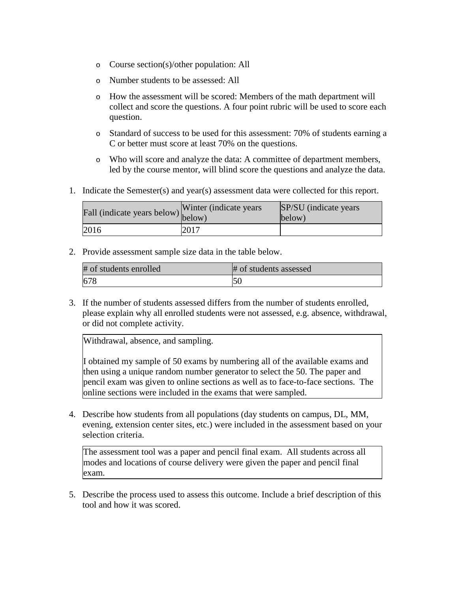- o Course section(s)/other population: All
- o Number students to be assessed: All
- o How the assessment will be scored: Members of the math department will collect and score the questions. A four point rubric will be used to score each question.
- o Standard of success to be used for this assessment: 70% of students earning a C or better must score at least 70% on the questions.
- o Who will score and analyze the data: A committee of department members, led by the course mentor, will blind score the questions and analyze the data.
- 1. Indicate the Semester(s) and year(s) assessment data were collected for this report.

| Fall (indicate years below) below) | Winter (indicate years) | SP/SU (indicate years)<br>below) |
|------------------------------------|-------------------------|----------------------------------|
| 2016                               | 2017                    |                                  |

2. Provide assessment sample size data in the table below.

| # of students enrolled | # of students assessed |
|------------------------|------------------------|
| 678                    | ЮU                     |

3. If the number of students assessed differs from the number of students enrolled, please explain why all enrolled students were not assessed, e.g. absence, withdrawal, or did not complete activity.

Withdrawal, absence, and sampling.

I obtained my sample of 50 exams by numbering all of the available exams and then using a unique random number generator to select the 50. The paper and pencil exam was given to online sections as well as to face-to-face sections. The online sections were included in the exams that were sampled.

4. Describe how students from all populations (day students on campus, DL, MM, evening, extension center sites, etc.) were included in the assessment based on your selection criteria.

The assessment tool was a paper and pencil final exam. All students across all modes and locations of course delivery were given the paper and pencil final exam.

5. Describe the process used to assess this outcome. Include a brief description of this tool and how it was scored.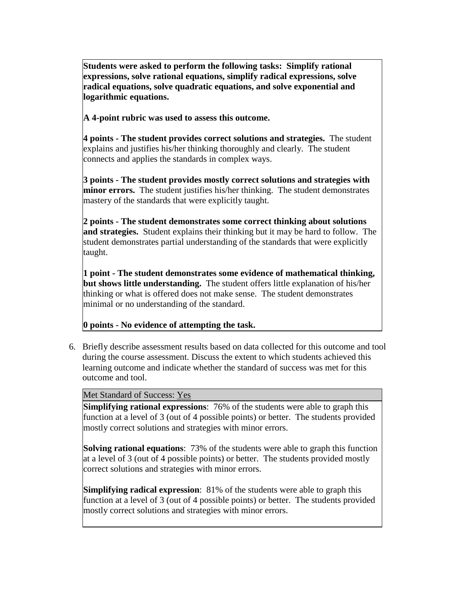**Students were asked to perform the following tasks: Simplify rational expressions, solve rational equations, simplify radical expressions, solve radical equations, solve quadratic equations, and solve exponential and logarithmic equations.**

**A 4-point rubric was used to assess this outcome.**

**4 points - The student provides correct solutions and strategies.** The student explains and justifies his/her thinking thoroughly and clearly. The student connects and applies the standards in complex ways.

**3 points - The student provides mostly correct solutions and strategies with minor errors.** The student justifies his/her thinking. The student demonstrates mastery of the standards that were explicitly taught.

**2 points - The student demonstrates some correct thinking about solutions and strategies.** Student explains their thinking but it may be hard to follow. The student demonstrates partial understanding of the standards that were explicitly taught.

**1 point - The student demonstrates some evidence of mathematical thinking, but shows little understanding.** The student offers little explanation of his/her thinking or what is offered does not make sense. The student demonstrates minimal or no understanding of the standard.

## **0 points - No evidence of attempting the task.**

6. Briefly describe assessment results based on data collected for this outcome and tool during the course assessment. Discuss the extent to which students achieved this learning outcome and indicate whether the standard of success was met for this outcome and tool.

Met Standard of Success: Yes

**Simplifying rational expressions**: 76% of the students were able to graph this function at a level of 3 (out of 4 possible points) or better. The students provided mostly correct solutions and strategies with minor errors.

**Solving rational equations**: 73% of the students were able to graph this function at a level of 3 (out of 4 possible points) or better. The students provided mostly correct solutions and strategies with minor errors.

**Simplifying radical expression**: 81% of the students were able to graph this function at a level of 3 (out of 4 possible points) or better. The students provided mostly correct solutions and strategies with minor errors.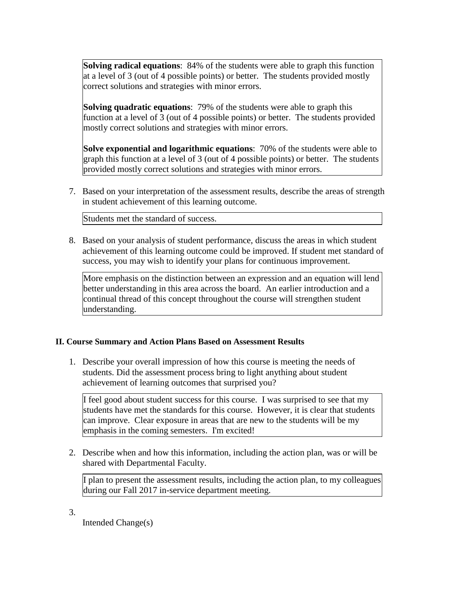**Solving radical equations**: 84% of the students were able to graph this function at a level of 3 (out of 4 possible points) or better. The students provided mostly correct solutions and strategies with minor errors.

**Solving quadratic equations**: 79% of the students were able to graph this function at a level of 3 (out of 4 possible points) or better. The students provided mostly correct solutions and strategies with minor errors.

**Solve exponential and logarithmic equations**: 70% of the students were able to graph this function at a level of 3 (out of 4 possible points) or better. The students provided mostly correct solutions and strategies with minor errors.

7. Based on your interpretation of the assessment results, describe the areas of strength in student achievement of this learning outcome.

Students met the standard of success.

8. Based on your analysis of student performance, discuss the areas in which student achievement of this learning outcome could be improved. If student met standard of success, you may wish to identify your plans for continuous improvement.

More emphasis on the distinction between an expression and an equation will lend better understanding in this area across the board. An earlier introduction and a continual thread of this concept throughout the course will strengthen student understanding.

## **II. Course Summary and Action Plans Based on Assessment Results**

1. Describe your overall impression of how this course is meeting the needs of students. Did the assessment process bring to light anything about student achievement of learning outcomes that surprised you?

I feel good about student success for this course. I was surprised to see that my students have met the standards for this course. However, it is clear that students can improve. Clear exposure in areas that are new to the students will be my emphasis in the coming semesters. I'm excited!

2. Describe when and how this information, including the action plan, was or will be shared with Departmental Faculty.

I plan to present the assessment results, including the action plan, to my colleagues during our Fall 2017 in-service department meeting.

3.

Intended Change(s)